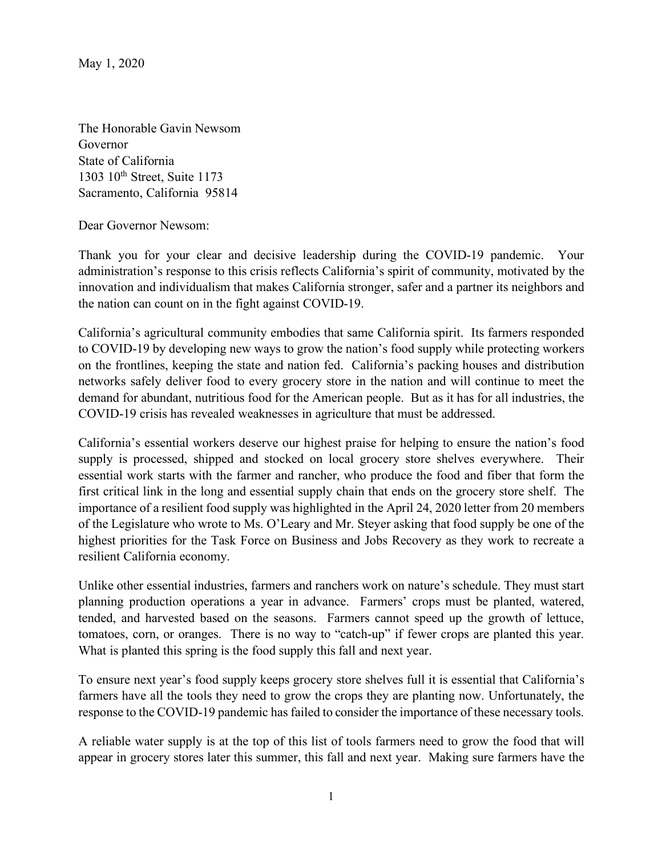May 1, 2020

The Honorable Gavin Newsom Governor State of California 1303 10th Street, Suite 1173 Sacramento, California 95814

Dear Governor Newsom:

Thank you for your clear and decisive leadership during the COVID-19 pandemic. Your administration's response to this crisis reflects California's spirit of community, motivated by the innovation and individualism that makes California stronger, safer and a partner its neighbors and the nation can count on in the fight against COVID-19.

California's agricultural community embodies that same California spirit. Its farmers responded to COVID-19 by developing new ways to grow the nation's food supply while protecting workers on the frontlines, keeping the state and nation fed. California's packing houses and distribution networks safely deliver food to every grocery store in the nation and will continue to meet the demand for abundant, nutritious food for the American people. But as it has for all industries, the COVID-19 crisis has revealed weaknesses in agriculture that must be addressed.

California's essential workers deserve our highest praise for helping to ensure the nation's food supply is processed, shipped and stocked on local grocery store shelves everywhere. Their essential work starts with the farmer and rancher, who produce the food and fiber that form the first critical link in the long and essential supply chain that ends on the grocery store shelf. The importance of a resilient food supply was highlighted in the April 24, 2020 letter from 20 members of the Legislature who wrote to Ms. O'Leary and Mr. Steyer asking that food supply be one of the highest priorities for the Task Force on Business and Jobs Recovery as they work to recreate a resilient California economy.

Unlike other essential industries, farmers and ranchers work on nature's schedule. They must start planning production operations a year in advance. Farmers' crops must be planted, watered, tended, and harvested based on the seasons. Farmers cannot speed up the growth of lettuce, tomatoes, corn, or oranges. There is no way to "catch-up" if fewer crops are planted this year. What is planted this spring is the food supply this fall and next year.

To ensure next year's food supply keeps grocery store shelves full it is essential that California's farmers have all the tools they need to grow the crops they are planting now. Unfortunately, the response to the COVID-19 pandemic has failed to consider the importance of these necessary tools.

A reliable water supply is at the top of this list of tools farmers need to grow the food that will appear in grocery stores later this summer, this fall and next year. Making sure farmers have the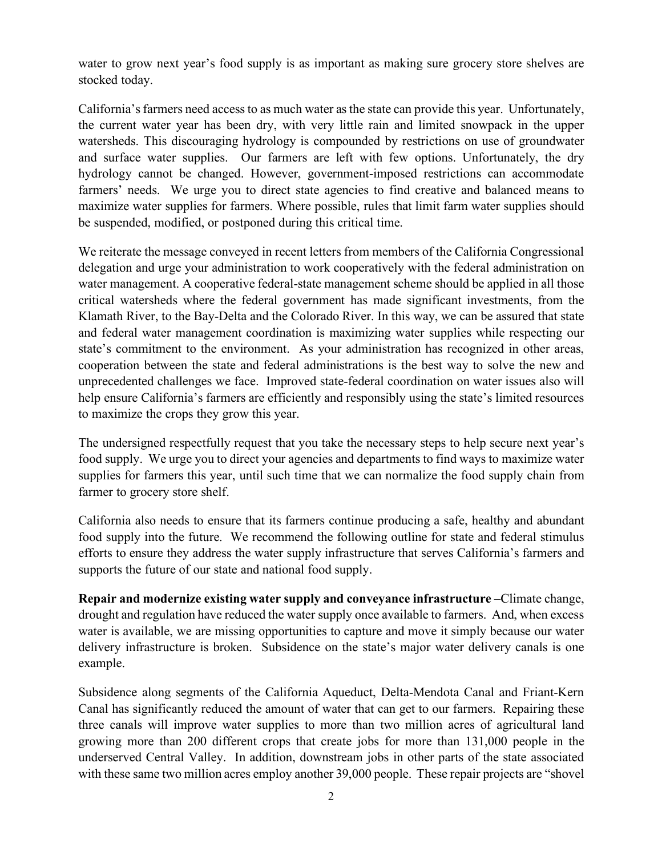water to grow next year's food supply is as important as making sure grocery store shelves are stocked today.

California's farmers need access to as much water as the state can provide this year. Unfortunately, the current water year has been dry, with very little rain and limited snowpack in the upper watersheds. This discouraging hydrology is compounded by restrictions on use of groundwater and surface water supplies. Our farmers are left with few options. Unfortunately, the dry hydrology cannot be changed. However, government-imposed restrictions can accommodate farmers' needs. We urge you to direct state agencies to find creative and balanced means to maximize water supplies for farmers. Where possible, rules that limit farm water supplies should be suspended, modified, or postponed during this critical time.

We reiterate the message conveyed in recent letters from members of the California Congressional delegation and urge your administration to work cooperatively with the federal administration on water management. A cooperative federal-state management scheme should be applied in all those critical watersheds where the federal government has made significant investments, from the Klamath River, to the Bay-Delta and the Colorado River. In this way, we can be assured that state and federal water management coordination is maximizing water supplies while respecting our state's commitment to the environment. As your administration has recognized in other areas, cooperation between the state and federal administrations is the best way to solve the new and unprecedented challenges we face. Improved state-federal coordination on water issues also will help ensure California's farmers are efficiently and responsibly using the state's limited resources to maximize the crops they grow this year.

The undersigned respectfully request that you take the necessary steps to help secure next year's food supply. We urge you to direct your agencies and departments to find ways to maximize water supplies for farmers this year, until such time that we can normalize the food supply chain from farmer to grocery store shelf.

California also needs to ensure that its farmers continue producing a safe, healthy and abundant food supply into the future. We recommend the following outline for state and federal stimulus efforts to ensure they address the water supply infrastructure that serves California's farmers and supports the future of our state and national food supply.

**Repair and modernize existing water supply and conveyance infrastructure** –Climate change, drought and regulation have reduced the water supply once available to farmers. And, when excess water is available, we are missing opportunities to capture and move it simply because our water delivery infrastructure is broken. Subsidence on the state's major water delivery canals is one example.

Subsidence along segments of the California Aqueduct, Delta-Mendota Canal and Friant-Kern Canal has significantly reduced the amount of water that can get to our farmers. Repairing these three canals will improve water supplies to more than two million acres of agricultural land growing more than 200 different crops that create jobs for more than 131,000 people in the underserved Central Valley. In addition, downstream jobs in other parts of the state associated with these same two million acres employ another 39,000 people. These repair projects are "shovel"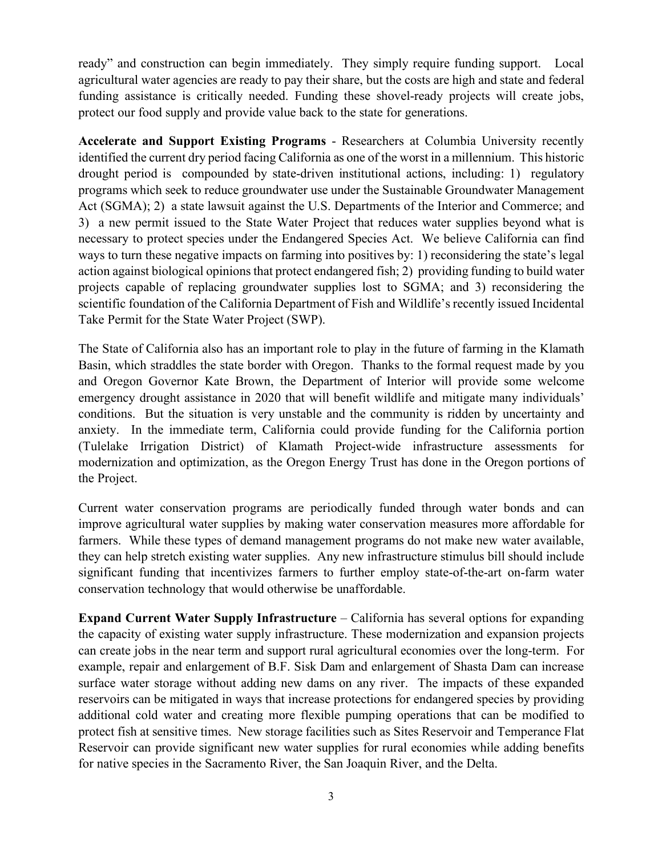ready" and construction can begin immediately. They simply require funding support. Local agricultural water agencies are ready to pay their share, but the costs are high and state and federal funding assistance is critically needed. Funding these shovel-ready projects will create jobs, protect our food supply and provide value back to the state for generations.

**Accelerate and Support Existing Programs** - Researchers at Columbia University recently identified the current dry period facing California as one of the worst in a millennium. This historic drought period is compounded by state-driven institutional actions, including: 1) regulatory programs which seek to reduce groundwater use under the Sustainable Groundwater Management Act (SGMA); 2) a state lawsuit against the U.S. Departments of the Interior and Commerce; and 3) a new permit issued to the State Water Project that reduces water supplies beyond what is necessary to protect species under the Endangered Species Act. We believe California can find ways to turn these negative impacts on farming into positives by: 1) reconsidering the state's legal action against biological opinions that protect endangered fish; 2) providing funding to build water projects capable of replacing groundwater supplies lost to SGMA; and 3) reconsidering the scientific foundation of the California Department of Fish and Wildlife's recently issued Incidental Take Permit for the State Water Project (SWP).

The State of California also has an important role to play in the future of farming in the Klamath Basin, which straddles the state border with Oregon. Thanks to the formal request made by you and Oregon Governor Kate Brown, the Department of Interior will provide some welcome emergency drought assistance in 2020 that will benefit wildlife and mitigate many individuals' conditions. But the situation is very unstable and the community is ridden by uncertainty and anxiety. In the immediate term, California could provide funding for the California portion (Tulelake Irrigation District) of Klamath Project-wide infrastructure assessments for modernization and optimization, as the Oregon Energy Trust has done in the Oregon portions of the Project.

Current water conservation programs are periodically funded through water bonds and can improve agricultural water supplies by making water conservation measures more affordable for farmers. While these types of demand management programs do not make new water available, they can help stretch existing water supplies. Any new infrastructure stimulus bill should include significant funding that incentivizes farmers to further employ state-of-the-art on-farm water conservation technology that would otherwise be unaffordable.

**Expand Current Water Supply Infrastructure** – California has several options for expanding the capacity of existing water supply infrastructure. These modernization and expansion projects can create jobs in the near term and support rural agricultural economies over the long-term. For example, repair and enlargement of B.F. Sisk Dam and enlargement of Shasta Dam can increase surface water storage without adding new dams on any river. The impacts of these expanded reservoirs can be mitigated in ways that increase protections for endangered species by providing additional cold water and creating more flexible pumping operations that can be modified to protect fish at sensitive times. New storage facilities such as Sites Reservoir and Temperance Flat Reservoir can provide significant new water supplies for rural economies while adding benefits for native species in the Sacramento River, the San Joaquin River, and the Delta.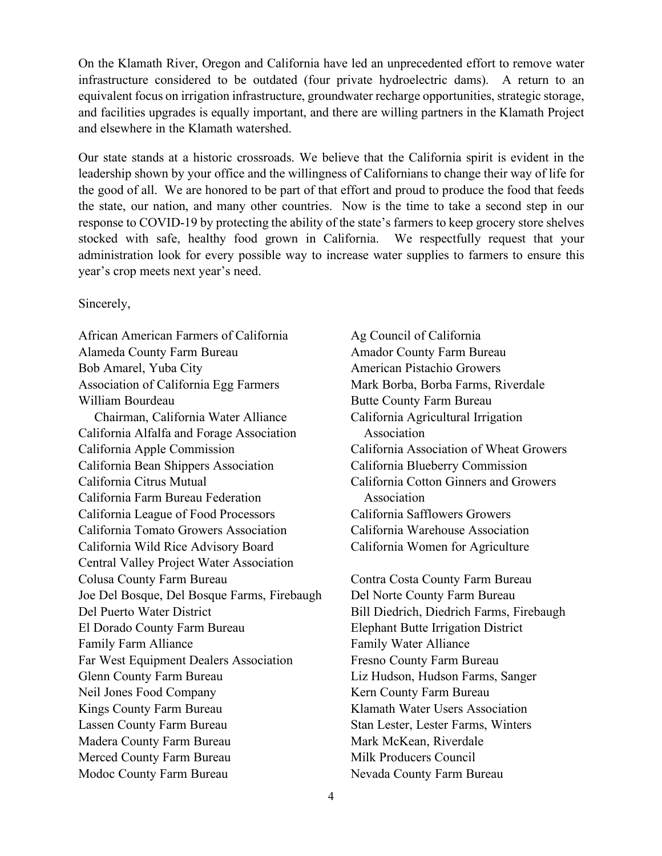On the Klamath River, Oregon and California have led an unprecedented effort to remove water infrastructure considered to be outdated (four private hydroelectric dams). A return to an equivalent focus on irrigation infrastructure, groundwater recharge opportunities, strategic storage, and facilities upgrades is equally important, and there are willing partners in the Klamath Project and elsewhere in the Klamath watershed.

Our state stands at a historic crossroads. We believe that the California spirit is evident in the leadership shown by your office and the willingness of Californians to change their way of life for the good of all. We are honored to be part of that effort and proud to produce the food that feeds the state, our nation, and many other countries. Now is the time to take a second step in our response to COVID-19 by protecting the ability of the state's farmers to keep grocery store shelves stocked with safe, healthy food grown in California. We respectfully request that your administration look for every possible way to increase water supplies to farmers to ensure this year's crop meets next year's need.

Sincerely,

African American Farmers of California Ag Council of California Alameda County Farm Bureau Amador County Farm Bureau Bob Amarel, Yuba City **American Pistachio Growers** American Pistachio Growers Association of California Egg Farmers Mark Borba, Borba Farms, Riverdale William Bourdeau Butte County Farm Bureau Chairman, California Water Alliance California Agricultural Irrigation California Alfalfa and Forage Association Association California Apple Commission California Association of Wheat Growers California Bean Shippers Association California Blueberry Commission California Citrus Mutual California Cotton Ginners and Growers California Farm Bureau Federation Association California League of Food Processors California Safflowers Growers California Tomato Growers Association California Warehouse Association California Wild Rice Advisory Board California Women for Agriculture Central Valley Project Water Association Colusa County Farm Bureau Contra Costa County Farm Bureau Joe Del Bosque, Del Bosque Farms, Firebaugh Del Norte County Farm Bureau Del Puerto Water District Bill Diedrich, Diedrich Farms, Firebaugh El Dorado County Farm Bureau Elephant Butte Irrigation District Family Farm Alliance Family Water Alliance Far West Equipment Dealers Association Fresno County Farm Bureau Glenn County Farm Bureau Liz Hudson, Hudson Farms, Sanger Neil Jones Food Company Kern County Farm Bureau Kings County Farm Bureau Klamath Water Users Association Lassen County Farm Bureau Stan Lester, Lester Farms, Winters Madera County Farm Bureau Mark McKean, Riverdale Merced County Farm Bureau Milk Producers Council Modoc County Farm Bureau Nevada County Farm Bureau